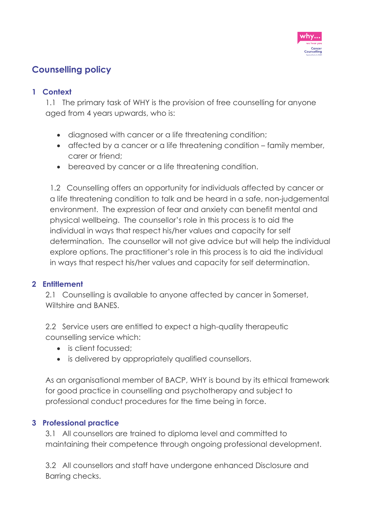

# **Counselling policy**

# **1 Context**

1.1 The primary task of WHY is the provision of free counselling for anyone aged from 4 years upwards, who is:

- diagnosed with cancer or a life threatening condition;
- affected by a cancer or a life threatening condition family member, carer or friend;
- bereaved by cancer or a life threatening condition.

1.2 Counselling offers an opportunity for individuals affected by cancer or a life threatening condition to talk and be heard in a safe, non-judgemental environment. The expression of fear and anxiety can benefit mental and physical wellbeing. The counsellor's role in this process is to aid the individual in ways that respect his/her values and capacity for self determination. The counsellor will not give advice but will help the individual explore options. The practitioner's role in this process is to aid the individual in ways that respect his/her values and capacity for self determination.

# **2 Entitlement**

2.1 Counselling is available to anyone affected by cancer in Somerset, Wiltshire and BANES.

2.2 Service users are entitled to expect a high-quality therapeutic counselling service which:

- is client focussed;
- is delivered by appropriately qualified counsellors.

As an organisational member of BACP, WHY is bound by its ethical framework for good practice in counselling and psychotherapy and subject to professional conduct procedures for the time being in force.

# **3 Professional practice**

3.1 All counsellors are trained to diploma level and committed to maintaining their competence through ongoing professional development.

3.2 All counsellors and staff have undergone enhanced Disclosure and Barring checks.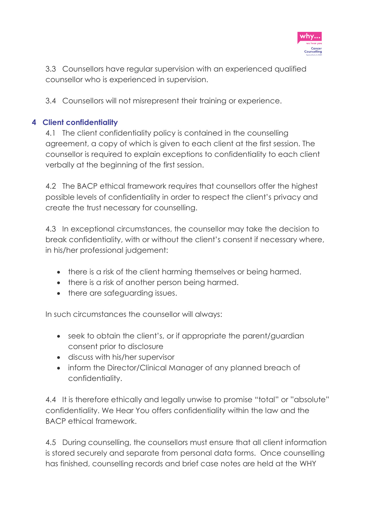

3.3 Counsellors have regular supervision with an experienced qualified counsellor who is experienced in supervision.

3.4 Counsellors will not misrepresent their training or experience.

# **4 Client confidentiality**

4.1 The client confidentiality policy is contained in the counselling agreement, a copy of which is given to each client at the first session. The counsellor is required to explain exceptions to confidentiality to each client verbally at the beginning of the first session.

4.2 The BACP ethical framework requires that counsellors offer the highest possible levels of confidentiality in order to respect the client's privacy and create the trust necessary for counselling.

4.3 In exceptional circumstances, the counsellor may take the decision to break confidentiality, with or without the client's consent if necessary where, in his/her professional judgement:

- there is a risk of the client harming themselves or being harmed.
- there is a risk of another person being harmed.
- there are safeguarding issues.

In such circumstances the counsellor will always:

- seek to obtain the client's, or if appropriate the parent/guardian consent prior to disclosure
- discuss with his/her supervisor
- inform the Director/Clinical Manager of any planned breach of confidentiality.

4.4 It is therefore ethically and legally unwise to promise "total" or "absolute" confidentiality. We Hear You offers confidentiality within the law and the BACP ethical framework.

4.5 During counselling, the counsellors must ensure that all client information is stored securely and separate from personal data forms. Once counselling has finished, counselling records and brief case notes are held at the WHY